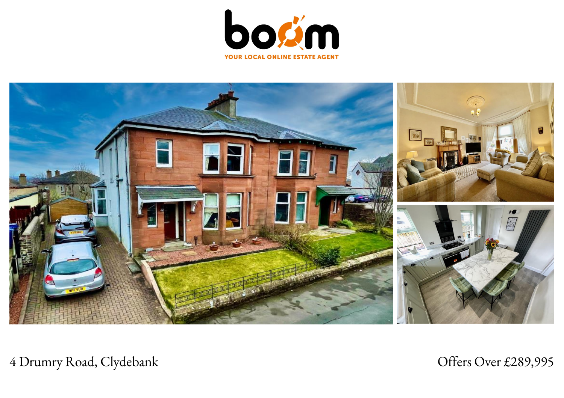



4 Drumry Road, Clydebank Offers Over £289,995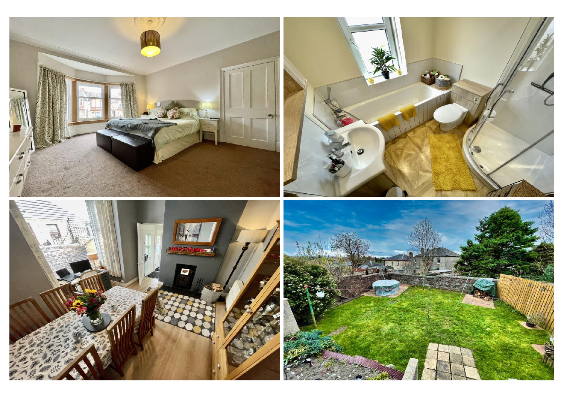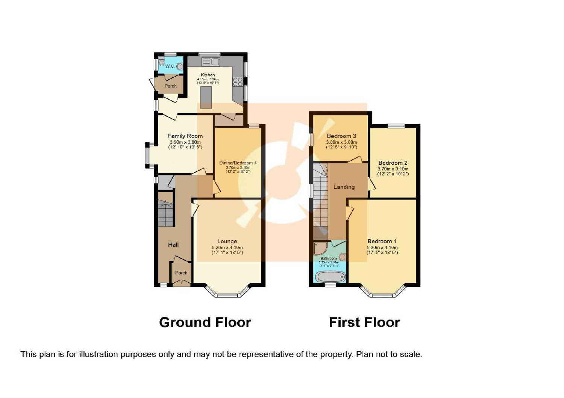

This plan is for illustration purposes only and may not be representative of the property. Plan not to scale.